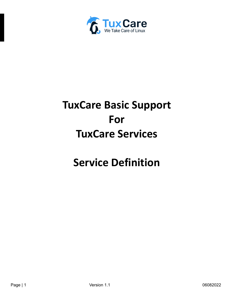

# **TuxCare Basic Support For TuxCare Services**

## **Service Definition**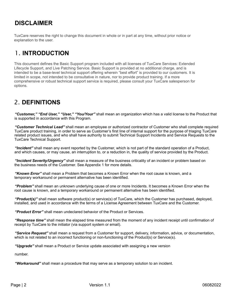## **DISCLAIMER**

TuxCare reserves the right to change this document in whole or in part at any time, without prior notice or explanation to the user.

## 1. **INTRODUCTION**

This document defines the Basic Support program included with all licenses of TuxCare Services: Extended Lifecycle Support, and Live Patching Service. Basic Support is provided at no additional charge, and is intended to be a base-level technical support offering wherein "best effort" is provided to our customers. It is limited in scope, not intended to be consultative in nature, nor to provide product training. If a more comprehensive or robust technical support service is required, please consult your TuxCare salesperson for options.

## 2. **DEFINITIONS**

*"Customer," "End User," "User," "You/Your"* shall mean an organization which has a valid license to the Product that is supported in accordance with this Program.

*"Customer Technical Lead"* shall mean an employee or authorized contractor of Customer who shall complete required TuxCare product training, in order to serve as Customer's first line of internal support for the purpose of triaging TuxCare related product issues, and who shall have authority to submit Technical Support Incidents and Service Requests to the TuxCare Technical Support.

*"Incident"* shall mean any event reported by the Customer, which is not part of the standard operation of a Product, and which causes, or may cause, an interruption to, or a reduction in, the quality of service provided by the Product.

*"Incident Severity/Urgency"* shall mean a measure of the business criticality of an incident or problem based on the business needs of the Customer. See Appendix 1 for more details.

*"Known Error"* shall mean a Problem that becomes a Known Error when the root cause is known, and a temporary workaround or permanent alternative has been identified.

*"Problem"* shall mean an unknown underlying cause of one or more Incidents. It becomes a Known Error when the root cause is known, and a temporary workaround or permanent alternative has been identified.

*"Product(s)"* shall mean software product(s) or service(s) of TuxCare, which the Customer has purchased, deployed, installed, and used in accordance with the terms of a License Agreement between TuxCare and the Customer.

*"Product Error"* shall mean undeclared behavior of the Product or Services.

*"Response time"* shall mean the elapsed time measured from the moment of any incident receipt until confirmation of receipt by TuxCare to the initiator (via support system or email).

*"Service Request"* shall mean a request from a Customer for support, delivery, information, advice, or documentation, which is not related to an incorrect functioning or non-functioning of the Product(s) or Service(s).

*"Upgrade"* shall mean a Product or Service update associated with assigning a new version

number.

*"Workaround"* shall mean a procedure that may serve as a temporary solution to an incident.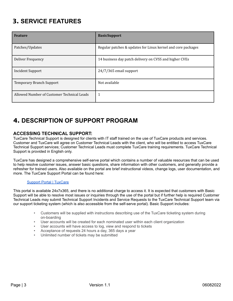## 3. **SERVICE FEATURES**

| <b>Feature</b>                             | <b>BasicSupport</b>                                          |
|--------------------------------------------|--------------------------------------------------------------|
| Patches/Updates                            | Regular patches & updates for Linux kernel and core packages |
| Deliver Frequency                          | 14 business day patch delivery on CVSS and higher CVEs       |
| Incident Support                           | 24/7/365 email support                                       |
| <b>Temporary Branch Support</b>            | Not available                                                |
| Allowed Number of Customer Technical Leads | 1                                                            |

## 4. **DESCRIPTION OF SUPPORT PROGRAM**

#### **ACCESSING TECHNICAL SUPPORT:**

TuxCare Technical Support is designed for clients with IT staff trained on the use of TuxCare products and services. Customer and TuxCare will agree on Customer Technical Leads with the client, who will be entitled to access TuxCare Technical Support services; Customer Technical Leads must complete TuxCare training requirements. TuxCare Technical Support is provided in English only.

TuxCare has designed a comprehensive self-serve portal which contains a number of valuable resources that can be used to help resolve customer issues, answer basic questions, share information with other customers, and generally provide a refresher for trained users. Also available on the portal are brief instructional videos, change logs, user documentation, and more. The TuxCare Support Portal can be found here:

#### Support Portal | [TuxCare](https://tuxcare.com/support-portal/)

This portal is available 24x7x365, and there is no additional charge to access it. It is expected that customers with Basic Support will be able to resolve most issues or inquiries through the use of the portal but if further help is required Customer Technical Leads may submit Technical Support Incidents and Service Requests to the TuxCare Technical Support team via our support ticketing system (which is also accessible from the self-serve portal). Basic Support includes:

- Customers will be supplied with instructions describing use of the TuxCare ticketing system during on-boarding
- User accounts will be created for each nominated user within each client organization
- User accounts will have access to log, view and respond to tickets
- Acceptance of requests 24 hours a day, 365 days a year
- Unlimited number of tickets may be submitted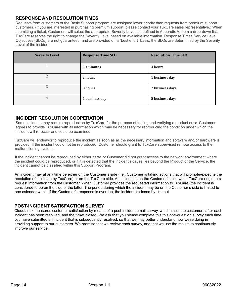#### **RESPONSE AND RESOLUTION TIMES**

Requests from customers of the Basic Support program are assigned lower priority than requests from premium support customers. (If you are interested in purchasing premium support, please contact your TuxCare sales representative.) When submitting a ticket, Customers will select the appropriate Severity Level, as defined in Appendix A, from a drop-down list; TuxCare reserves the right to change the Severity Level based on available information. Response Times Service Level Objectives (SLOs) are not guaranteed, and are provided on a "best effort" basis; the SLOs are determined by the Severity Level of the incident.

| <b>Severity Level</b> | <b>Response Time SLO</b> | <b>Resolution Time SLO</b> |
|-----------------------|--------------------------|----------------------------|
|                       | 30 minutes               | 4 hours                    |
| 2                     | 2 hours                  | 1 business day             |
| 3                     | 8 hours                  | 2 business days            |
| 4                     | 1 business day           | 5 business days            |

#### **INCIDENT RESOLUTION COOPERATION**

Some incidents may require reproduction by TuxCare for the purpose of testing and verifying a product error. Customer agrees to provide TuxCare with all information which may be necessary for reproducing the condition under which the incident will re-occur and could be examined.

TuxCare will endeavor to reproduce the incident as soon as all the necessary information and software and/or hardware is provided. If the incident could not be reproduced, Customer should grant to TuxCare supervised remote access to the malfunctioning system.

If the incident cannot be reproduced by either party, or Customer did not grant access to the network environment where the incident could be reproduced, or if it is detected that the incident's cause lies beyond the Product or the Service, the incident cannot be classified within this Support Program.

An incident may at any time be either on the Customer's side (i.e., Customer is taking actions that will promote/expedite the resolution of the issue by TuxCare) or on the TuxCare side. An incident is on the Customer's side when TuxCare engineers request information from the Customer. When Customer provides the requested information to TuxCare, the incident is considered to be on the side of the latter. The period during which the incident may be on the Customer's side is limited to one calendar week. If the Customer's response is overdue, the incident is closed by timeout.

#### **POST-INCIDENT SATISFACTION SURVEY**

CloudLinux measures customer satisfaction by means of a post-incident email survey, which is sent to customers after each incident has been resolved, and the ticket closed. We ask that you please complete this this one-question survey each time you have submitted an incident that is subsequently resolved, so that we may better understand how we're doing in providing support to our customers. We promise that we review each survey, and that we use the results to continuously improve our service.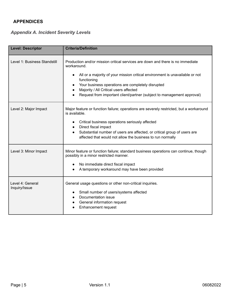#### **APPENDICES**

### *Appendix A. Incident Severity Levels*

| <b>Level: Descriptor</b>          | <b>Criteria/Definition</b>                                                                                                                                                                                                                                                                                                                                            |  |
|-----------------------------------|-----------------------------------------------------------------------------------------------------------------------------------------------------------------------------------------------------------------------------------------------------------------------------------------------------------------------------------------------------------------------|--|
| Level 1: Business Standstill      | Production and/or mission critical services are down and there is no immediate<br>workaround.<br>All or a majority of your mission critical environment is unavailable or not<br>functioning<br>Your business operations are completely disrupted<br>Majority / All Critical users affected<br>Request from important client/partner (subject to management approval) |  |
| Level 2: Major Impact             | Major feature or function failure; operations are severely restricted, but a workaround<br>is available.<br>Critical business operations seriously affected<br>Direct fiscal impact<br>$\bullet$<br>Substantial number of users are affected, or critical group of users are<br>affected that would not allow the business to run normally                            |  |
| Level 3: Minor Impact             | Minor feature or function failure; standard business operations can continue, though<br>possibly in a minor restricted manner.<br>No immediate direct fiscal impact<br>A temporary workaround may have been provided                                                                                                                                                  |  |
| Level 4: General<br>Inquiry/Issue | General usage questions or other non-critical inquiries.<br>Small number of users/systems affected<br>Documentation issue<br>General information request<br><b>Enhancement request</b>                                                                                                                                                                                |  |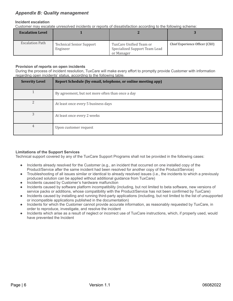#### *Appendix B: Quality management*

#### **Incident escalation**

Customer may escalate unresolved incidents or reports of dissatisfaction according to the following scheme:

| <b>Escalation Level</b> |                                             |                                                                        |                                |
|-------------------------|---------------------------------------------|------------------------------------------------------------------------|--------------------------------|
| Escalation Path         | <b>Technical Senior Support</b><br>Engineer | TuxCare Unified Team or<br>Specialized Support Team Lead<br>or Manager | Chief Experience Officer (CXO) |

#### **Provision of reports on open incidents**

During the process of incident resolution, TuxCare will make every effort to promptly provide Customer with information regarding open incidents' status, according to the following table.

| <b>Severity Level</b> | Report Schedule (by email, telephone, or online meeting app) |
|-----------------------|--------------------------------------------------------------|
|                       | By agreement, but not more often than once a day             |
| $\mathcal{D}$         | At least once every 5 business days                          |
| 3                     | At least once every 2 weeks                                  |
| 4                     | Upon customer request                                        |

#### **Limitations of the Support Services**

Technical support covered by any of the TuxCare Support Programs shall not be provided in the following cases:

- Incidents already resolved for the Customer (e.g., an incident that occurred on one installed copy of the Product/Service after the same incident had been resolved for another copy of the Product/Service)
- Troubleshooting of all issues similar or identical to already resolved issues (i.e., the incidents to which a previously produced solution can be applied without additional guidance from TuxCare)
- Incidents caused by Customer's hardware malfunction
- Incidents caused by software platform incompatibility (including, but not limited to beta software, new versions of service packs or additions, whose compatibility with the Product/Service has not been confirmed by TuxCare)
- Incidents caused by installing and running third-party applications (including, but not limited to the list of unsupported or incompatible applications published in the documentation)
- Incidents for which the Customer cannot provide accurate information, as reasonably requested by TuxCare, in order to reproduce, investigate, and resolve the incident
- Incidents which arise as a result of neglect or incorrect use of TuxCare instructions, which, if properly used, would have prevented the Incident